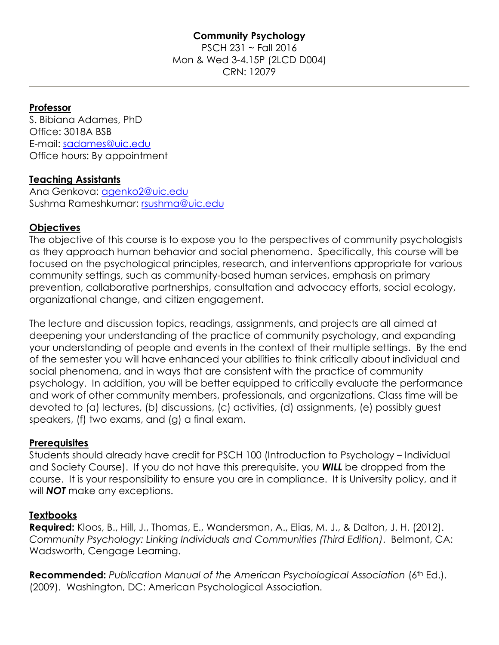## **Professor**

S. Bibiana Adames, PhD Office: 3018A BSB E-mail: [sadames@uic.edu](mailto:sadames@uic.edu) Office hours: By appointment

### **Teaching Assistants**

Ana Genkova: [agenko2@uic.edu](mailto:agenko2@uic.edu) Sushma Rameshkumar: [rsushma@uic.edu](mailto:rsushma@uic.edu)

## **Objectives**

The objective of this course is to expose you to the perspectives of community psychologists as they approach human behavior and social phenomena. Specifically, this course will be focused on the psychological principles, research, and interventions appropriate for various community settings, such as community-based human services, emphasis on primary prevention, collaborative partnerships, consultation and advocacy efforts, social ecology, organizational change, and citizen engagement.

The lecture and discussion topics, readings, assignments, and projects are all aimed at deepening your understanding of the practice of community psychology, and expanding your understanding of people and events in the context of their multiple settings. By the end of the semester you will have enhanced your abilities to think critically about individual and social phenomena, and in ways that are consistent with the practice of community psychology. In addition, you will be better equipped to critically evaluate the performance and work of other community members, professionals, and organizations. Class time will be devoted to (a) lectures, (b) discussions, (c) activities, (d) assignments, (e) possibly guest speakers, (f) two exams, and (g) a final exam.

### **Prerequisites**

Students should already have credit for PSCH 100 (Introduction to Psychology – Individual and Society Course). If you do not have this prerequisite, you *WILL* be dropped from the course. It is your responsibility to ensure you are in compliance. It is University policy, and it will *NOT* make any exceptions.

### **Textbooks**

**Required:** Kloos, B., Hill, J., Thomas, E., Wandersman, A., Elias, M. J., & Dalton, J. H. (2012). *Community Psychology: Linking Individuals and Communities (Third Edition)*. Belmont, CA: Wadsworth, Cengage Learning.

**Recommended:** *Publication Manual of the American Psychological Association (6<sup>th</sup> Ed.).* (2009). Washington, DC: American Psychological Association.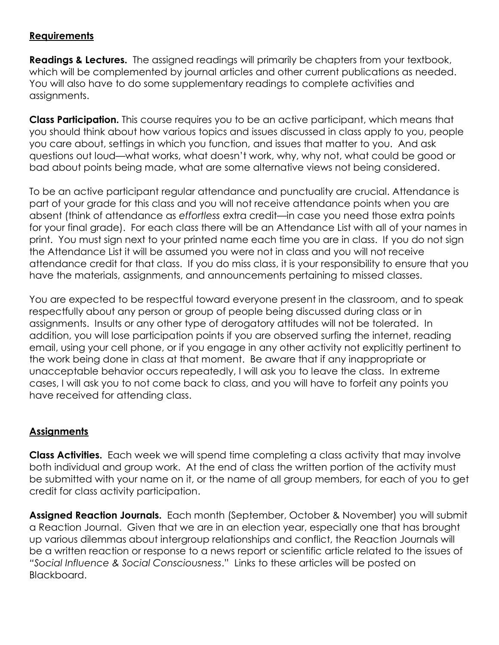# **Requirements**

**Readings & Lectures.** The assigned readings will primarily be chapters from your textbook, which will be complemented by journal articles and other current publications as needed. You will also have to do some supplementary readings to complete activities and assignments.

**Class Participation.** This course requires you to be an active participant, which means that you should think about how various topics and issues discussed in class apply to you, people you care about, settings in which you function, and issues that matter to you. And ask questions out loud—what works, what doesn't work, why, why not, what could be good or bad about points being made, what are some alternative views not being considered.

To be an active participant regular attendance and punctuality are crucial. Attendance is part of your grade for this class and you will not receive attendance points when you are absent (think of attendance as *effortless* extra credit—in case you need those extra points for your final grade). For each class there will be an Attendance List with all of your names in print. You must sign next to your printed name each time you are in class. If you do not sign the Attendance List it will be assumed you were not in class and you will not receive attendance credit for that class. If you do miss class, it is your responsibility to ensure that you have the materials, assignments, and announcements pertaining to missed classes.

You are expected to be respectful toward everyone present in the classroom, and to speak respectfully about any person or group of people being discussed during class or in assignments. Insults or any other type of derogatory attitudes will not be tolerated. In addition, you will lose participation points if you are observed surfing the internet, reading email, using your cell phone, or if you engage in any other activity not explicitly pertinent to the work being done in class at that moment. Be aware that if any inappropriate or unacceptable behavior occurs repeatedly, I will ask you to leave the class. In extreme cases, I will ask you to not come back to class, and you will have to forfeit any points you have received for attending class.

# **Assignments**

**Class Activities.** Each week we will spend time completing a class activity that may involve both individual and group work. At the end of class the written portion of the activity must be submitted with your name on it, or the name of all group members, for each of you to get credit for class activity participation.

**Assigned Reaction Journals.** Each month (September, October & November) you will submit a Reaction Journal. Given that we are in an election year, especially one that has brought up various dilemmas about intergroup relationships and conflict, the Reaction Journals will be a written reaction or response to a news report or scientific article related to the issues of *"Social Influence & Social Consciousness*." Links to these articles will be posted on Blackboard.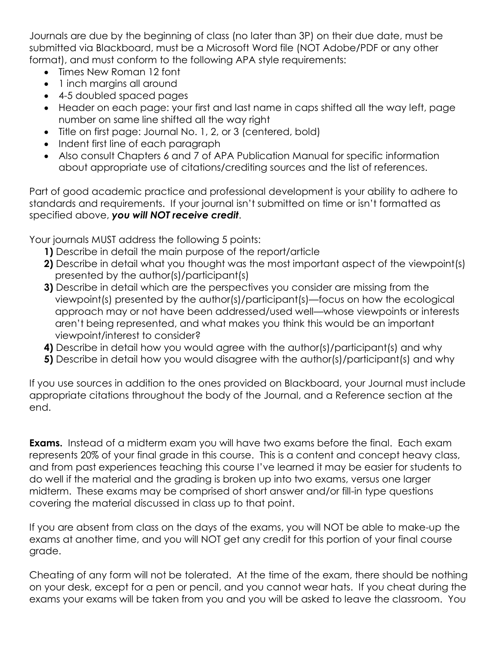Journals are due by the beginning of class (no later than 3P) on their due date, must be submitted via Blackboard, must be a Microsoft Word file (NOT Adobe/PDF or any other format), and must conform to the following APA style requirements:

- Times New Roman 12 font
- 1 inch margins all around
- 4-5 doubled spaced pages
- Header on each page: your first and last name in caps shifted all the way left, page number on same line shifted all the way right
- Title on first page: Journal No. 1, 2, or 3 (centered, bold)
- Indent first line of each paragraph
- Also consult Chapters 6 and 7 of APA Publication Manual for specific information about appropriate use of citations/crediting sources and the list of references.

Part of good academic practice and professional development is your ability to adhere to standards and requirements. If your journal isn't submitted on time or isn't formatted as specified above, *you will NOT receive credit*.

Your journals MUST address the following 5 points:

- **1)** Describe in detail the main purpose of the report/article
- **2)** Describe in detail what you thought was the most important aspect of the viewpoint(s) presented by the author(s)/participant(s)
- **3)** Describe in detail which are the perspectives you consider are missing from the viewpoint(s) presented by the author(s)/participant(s)—focus on how the ecological approach may or not have been addressed/used well—whose viewpoints or interests aren't being represented, and what makes you think this would be an important viewpoint/interest to consider?
- **4)** Describe in detail how you would agree with the author(s)/participant(s) and why
- **5)** Describe in detail how you would disagree with the author(s)/participant(s) and why

If you use sources in addition to the ones provided on Blackboard, your Journal must include appropriate citations throughout the body of the Journal, and a Reference section at the end.

**Exams.** Instead of a midterm exam you will have two exams before the final. Each exam represents 20% of your final grade in this course. This is a content and concept heavy class, and from past experiences teaching this course I've learned it may be easier for students to do well if the material and the grading is broken up into two exams, versus one larger midterm. These exams may be comprised of short answer and/or fill-in type questions covering the material discussed in class up to that point.

If you are absent from class on the days of the exams, you will NOT be able to make-up the exams at another time, and you will NOT get any credit for this portion of your final course grade.

Cheating of any form will not be tolerated. At the time of the exam, there should be nothing on your desk, except for a pen or pencil, and you cannot wear hats. If you cheat during the exams your exams will be taken from you and you will be asked to leave the classroom. You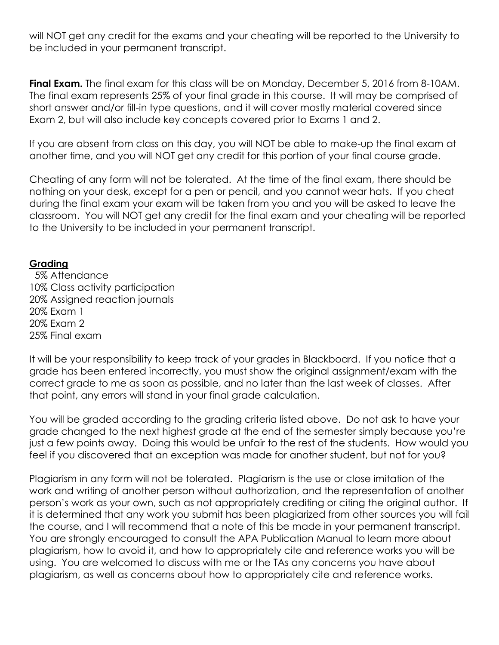will NOT get any credit for the exams and your cheating will be reported to the University to be included in your permanent transcript.

**Final Exam.** The final exam for this class will be on Monday, December 5, 2016 from 8-10AM. The final exam represents 25% of your final grade in this course. It will may be comprised of short answer and/or fill-in type questions, and it will cover mostly material covered since Exam 2, but will also include key concepts covered prior to Exams 1 and 2.

If you are absent from class on this day, you will NOT be able to make-up the final exam at another time, and you will NOT get any credit for this portion of your final course grade.

Cheating of any form will not be tolerated. At the time of the final exam, there should be nothing on your desk, except for a pen or pencil, and you cannot wear hats. If you cheat during the final exam your exam will be taken from you and you will be asked to leave the classroom. You will NOT get any credit for the final exam and your cheating will be reported to the University to be included in your permanent transcript.

## **Grading**

 5% Attendance 10% Class activity participation 20% Assigned reaction journals 20% Exam 1 20% Exam 2 25% Final exam

It will be your responsibility to keep track of your grades in Blackboard. If you notice that a grade has been entered incorrectly, you must show the original assignment/exam with the correct grade to me as soon as possible, and no later than the last week of classes. After that point, any errors will stand in your final grade calculation.

You will be graded according to the grading criteria listed above. Do not ask to have your grade changed to the next highest grade at the end of the semester simply because you're just a few points away. Doing this would be unfair to the rest of the students. How would you feel if you discovered that an exception was made for another student, but not for you?

Plagiarism in any form will not be tolerated. Plagiarism is the use or close imitation of the work and writing of another person without authorization, and the representation of another person's work as your own, such as not appropriately crediting or citing the original author. If it is determined that any work you submit has been plagiarized from other sources you will fail the course, and I will recommend that a note of this be made in your permanent transcript. You are strongly encouraged to consult the APA Publication Manual to learn more about plagiarism, how to avoid it, and how to appropriately cite and reference works you will be using. You are welcomed to discuss with me or the TAs any concerns you have about plagiarism, as well as concerns about how to appropriately cite and reference works.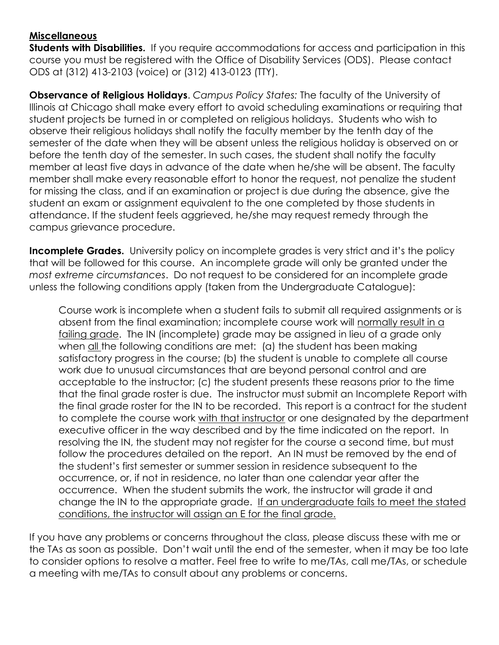### **Miscellaneous**

**Students with Disabilities.** If you require accommodations for access and participation in this course you must be registered with the Office of Disability Services (ODS). Please contact ODS at (312) 413-2103 (voice) or (312) 413-0123 (TTY).

**Observance of Religious Holidays**. *Campus Policy States:* The faculty of the University of Illinois at Chicago shall make every effort to avoid scheduling examinations or requiring that student projects be turned in or completed on religious holidays. Students who wish to observe their religious holidays shall notify the faculty member by the tenth day of the semester of the date when they will be absent unless the religious holiday is observed on or before the tenth day of the semester. In such cases, the student shall notify the faculty member at least five days in advance of the date when he/she will be absent. The faculty member shall make every reasonable effort to honor the request, not penalize the student for missing the class, and if an examination or project is due during the absence, give the student an exam or assignment equivalent to the one completed by those students in attendance. If the student feels aggrieved, he/she may request remedy through the campus grievance procedure.

**Incomplete Grades.** University policy on incomplete grades is very strict and it's the policy that will be followed for this course. An incomplete grade will only be granted under the *most extreme circumstances*. Do not request to be considered for an incomplete grade unless the following conditions apply (taken from the Undergraduate Catalogue):

Course work is incomplete when a student fails to submit all required assignments or is absent from the final examination; incomplete course work will normally result in a failing grade. The IN (incomplete) grade may be assigned in lieu of a grade only when all the following conditions are met: (a) the student has been making satisfactory progress in the course; (b) the student is unable to complete all course work due to unusual circumstances that are beyond personal control and are acceptable to the instructor; (c) the student presents these reasons prior to the time that the final grade roster is due. The instructor must submit an Incomplete Report with the final grade roster for the IN to be recorded. This report is a contract for the student to complete the course work with that instructor or one designated by the department executive officer in the way described and by the time indicated on the report. In resolving the IN, the student may not register for the course a second time, but must follow the procedures detailed on the report. An IN must be removed by the end of the student's first semester or summer session in residence subsequent to the occurrence, or, if not in residence, no later than one calendar year after the occurrence. When the student submits the work, the instructor will grade it and change the IN to the appropriate grade. If an undergraduate fails to meet the stated conditions, the instructor will assign an E for the final grade.

If you have any problems or concerns throughout the class, please discuss these with me or the TAs as soon as possible. Don't wait until the end of the semester, when it may be too late to consider options to resolve a matter. Feel free to write to me/TAs, call me/TAs, or schedule a meeting with me/TAs to consult about any problems or concerns.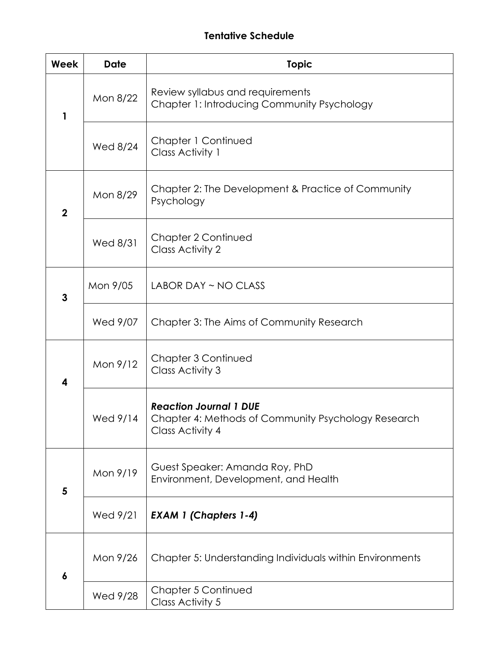# **Tentative Schedule**

| Week                    | <b>Date</b> | <b>Topic</b>                                                                                             |
|-------------------------|-------------|----------------------------------------------------------------------------------------------------------|
| 1                       | Mon 8/22    | Review syllabus and requirements<br>Chapter 1: Introducing Community Psychology                          |
|                         | Wed 8/24    | Chapter 1 Continued<br>Class Activity 1                                                                  |
| $\mathbf 2$             | Mon 8/29    | Chapter 2: The Development & Practice of Community<br>Psychology                                         |
|                         | Wed 8/31    | Chapter 2 Continued<br><b>Class Activity 2</b>                                                           |
| 3                       | Mon 9/05    | LABOR DAY ~ NO CLASS                                                                                     |
|                         | Wed 9/07    | Chapter 3: The Aims of Community Research                                                                |
| 4                       | Mon 9/12    | Chapter 3 Continued<br><b>Class Activity 3</b>                                                           |
|                         | Wed 9/14    | <b>Reaction Journal 1 DUE</b><br>Chapter 4: Methods of Community Psychology Research<br>Class Activity 4 |
| $\overline{\mathbf{5}}$ | Mon 9/19    | Guest Speaker: Amanda Roy, PhD<br>Environment, Development, and Health                                   |
|                         | Wed 9/21    | <b>EXAM 1 (Chapters 1-4)</b>                                                                             |
| 6                       | Mon 9/26    | Chapter 5: Understanding Individuals within Environments                                                 |
|                         | Wed 9/28    | Chapter 5 Continued<br>Class Activity 5                                                                  |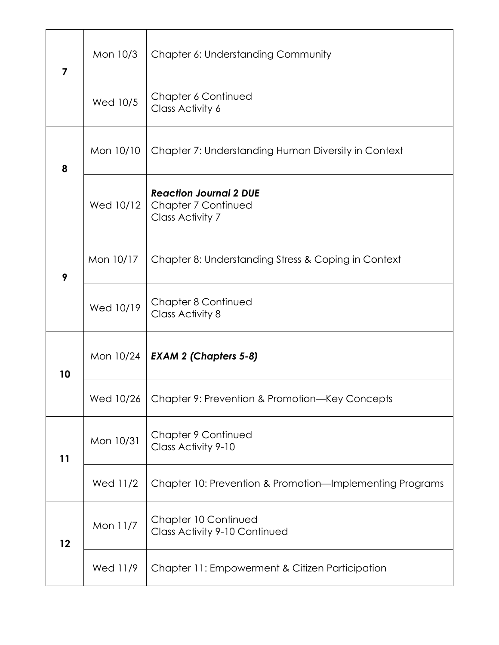| $\overline{7}$ | Mon 10/3  | Chapter 6: Understanding Community                                       |
|----------------|-----------|--------------------------------------------------------------------------|
|                | Wed 10/5  | Chapter 6 Continued<br>Class Activity 6                                  |
| 8              | Mon 10/10 | Chapter 7: Understanding Human Diversity in Context                      |
|                | Wed 10/12 | <b>Reaction Journal 2 DUE</b><br>Chapter 7 Continued<br>Class Activity 7 |
| 9              | Mon 10/17 | Chapter 8: Understanding Stress & Coping in Context                      |
|                | Wed 10/19 | Chapter 8 Continued<br>Class Activity 8                                  |
| 10             |           | Mon 10/24   <b>EXAM 2 (Chapters 5-8)</b>                                 |
|                | Wed 10/26 | Chapter 9: Prevention & Promotion—Key Concepts                           |
| 11             | Mon 10/31 | Chapter 9 Continued<br>Class Activity 9-10                               |
|                | Wed 11/2  | Chapter 10: Prevention & Promotion-Implementing Programs                 |
| 12             | Mon 11/7  | Chapter 10 Continued<br><b>Class Activity 9-10 Continued</b>             |
|                | Wed 11/9  | Chapter 11: Empowerment & Citizen Participation                          |